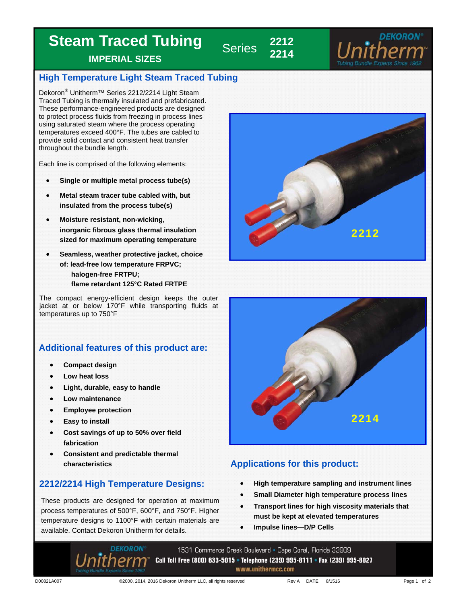## **Steam Traced Tubing**

**IMPERIAL SIZES** 

#### **High Temperature Light Steam Traced Tubing**

**Series** 

**2214** 

Dekoron<sup>®</sup> Unitherm™ Series 2212/2214 Light Steam Traced Tubing is thermally insulated and prefabricated. These performance-engineered products are designed to protect process fluids from freezing in process lines using saturated steam where the process operating temperatures exceed 400°F. The tubes are cabled to provide solid contact and consistent heat transfer throughout the bundle length.

Each line is comprised of the following elements:

- **Single or multiple metal process tube(s)**
- **Metal steam tracer tube cabled with, but insulated from the process tube(s)**
- **Moisture resistant, non-wicking, inorganic fibrous glass thermal insulation sized for maximum operating temperature**
- **Seamless, weather protective jacket, choice of: lead-free low temperature FRPVC; halogen-free FRTPU; flame retardant 125°C Rated FRTPE**

The compact energy-efficient design keeps the outer jacket at or below 170°F while transporting fluids at temperatures up to 750°F

### **Additional features of this product are:**

- **Compact design**
- **Low heat loss**
- **Light, durable, easy to handle**
- **Low maintenance**
- **Employee protection**
- **Easy to install**
- **Cost savings of up to 50% over field fabrication**
- **Consistent and predictable thermal**

#### **2212/2214 High Temperature Designs:**

These products are designed for operation at maximum process temperatures of 500°F, 600°F, and 750°F. Higher temperature designs to 1100°F with certain materials are available. Contact Dekoron Unitherm for details.





## **characteristics Characteristics Applications for this product:**

- **High temperature sampling and instrument lines**
- **Small Diameter high temperature process lines**
- **Transport lines for high viscosity materials that must be kept at elevated temperatures**
- **Impulse lines—D/P Cells**

1531 Commerce Creek Boulevard • Cape Coral, Florida 33909 Call Toll Free (800) 633-5015 • Telephone (239) 995-8111 • Fax (239) 995-8027 www.unithermcc.com